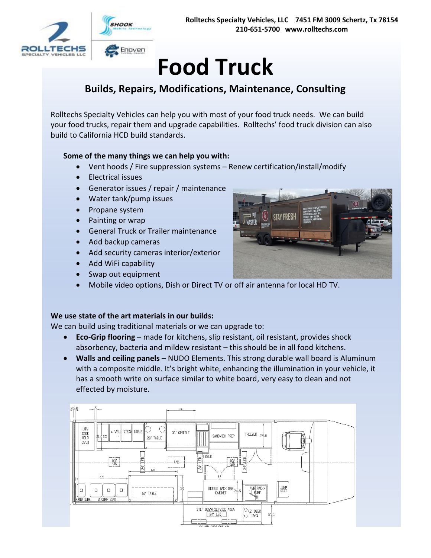# **Food Truck**

# **Builds, Repairs, Modifications, Maintenance, Consulting**

Rolltechs Specialty Vehicles can help you with most of your food truck needs. We can build your food trucks, repair them and upgrade capabilities. Rolltechs' food truck division can also build to California HCD build standards.

#### **Some of the many things we can help you with:**

- Vent hoods / Fire suppression systems Renew certification/install/modify
- Electrical issues
- Generator issues / repair / maintenance
- Water tank/pump issues
- Propane system
- Painting or wrap
- General Truck or Trailer maintenance
- Add backup cameras
- Add security cameras interior/exterior
- Add WiFi capability
- Swap out equipment
- Mobile video options, Dish or Direct TV or off air antenna for local HD TV.

#### **We use state of the art materials in our builds:**

We can build using traditional materials or we can upgrade to:

- **Eco-Grip flooring** made for kitchens, slip resistant, oil resistant, provides shock absorbency, bacteria and mildew resistant – this should be in all food kitchens.
- **Walls and ceiling panels** NUDO Elements. This strong durable wall board is Aluminum with a composite middle. It's bright white, enhancing the illumination in your vehicle, it has a smooth write on surface similar to white board, very easy to clean and not effected by moisture.